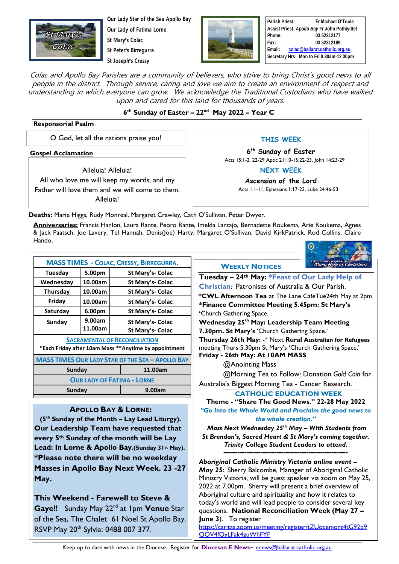

**Our Lady Star of the Sea Apollo Bay Our Lady of Fatima Lorne St Mary**'**s Colac**

**St Peter**'**s Birregurra St Joseph**'**s Cressy**



**Parish Priest: Fr Michael O'Toole Assist Priest:** *Apollo Bay* **Fr John Pothiyittel Phone: 03 52312177 Fax: 03 52312189 Email: [colac@ballarat.catholic.org.au](mailto:colac@ballarat.catholic.org.au) Secretary Hrs: Mon to Fri 8.30am-12.30pm**

Colac and Apollo Bay Parishes are a community of believers, who strive to bring Christ's good news to all people in the district. Through service, caring and love we aim to create an environment of respect and understanding in which everyone can grow. We acknowledge the Traditional Custodians who have walked upon and cared for this land for thousands of years.

## **6 th Sunday of Easter – 22nd May 2022 – Year C**

#### **Responsorial Psalm**

O God, let all the nations praise you!

**Gospel Acclamation**

Alleluia! Alleluia! All who love me will keep my words, and my Father will love them and we will come to them. Alleluia!

**THIS WEEK**

**6 th Sunday of Easter** Acts 15:1-2, 22-29 Apoc 21:10-15,22-23, John 14:23-29

**NEXT WEEK**

**Ascension of the Lord** Acts 1:1-11, Ephesians 1:17-23, Luke 24:46-53

**Deaths:** Marie Higgs, Rudy Monreal, Margaret Crawley, Cath O'Sullivan, Peter Dwyer.

**Anniversaries:** Francis Hanlon, Laura Rante, Peoro Rante, Imelda Lantajo, Bernadette Roukema, Arie Roukema, Agnes & Jack Paatsch, Joe Lavery, Tel Hannah, Denis(Joe) Harty, Margaret O'Sullivan, David KirkPatrick, Rod Collins, Claire Hando,

| ENTRUSTING AUSTRALIA TO <b>ENTRUSTING</b> |  |  |
|-------------------------------------------|--|--|

| <b>MASS TIMES - COLAC, CRESSY, BIRREGURRA.</b>          |         |                  |  |  |  |
|---------------------------------------------------------|---------|------------------|--|--|--|
| Tuesdav                                                 | 5.00pm  | St Mary's- Colac |  |  |  |
| Wednesday                                               | 10.00am | St Mary's- Colac |  |  |  |
| <b>Thursday</b>                                         | 10.00am | St Mary's- Colac |  |  |  |
| Friday                                                  | 10.00am | St Mary's- Colac |  |  |  |
| Saturday                                                | 6.00pm  | St Mary's- Colac |  |  |  |
| Sunday                                                  | 9.00am  | St Mary's- Colac |  |  |  |
|                                                         | 11.00am | St Mary's- Colac |  |  |  |
| <b>SACRAMENTAL OF RECONCILIATION</b>                    |         |                  |  |  |  |
| *Each Friday after 10am Mass **Anytime by appointment   |         |                  |  |  |  |
| <b>MASS TIMES OUR LADY STAR OF THE SEA - APOLLO BAY</b> |         |                  |  |  |  |
| Sunday                                                  |         | 11.00am          |  |  |  |
| <b>OUR LADY OF FATIMA - LORNE</b>                       |         |                  |  |  |  |
| Sunday                                                  |         | 9.00am           |  |  |  |
|                                                         |         |                  |  |  |  |

## **APOLLO BAY & LORNE:**

**(5th Sunday of the Month – Lay Lead Liturgy). Our Leadership Team have requested that every 5th Sunday of the month will be Lay Lead: In Lorne & Apollo Bay.(Sunday 31st May). \*Please note there will be no weekday Masses in Apollo Bay Next Week. 23 -27 May.**

**This Weekend - Farewell to Steve & Gaye!!** Sunday May 22nd at 1pm **Venue** Star of the Sea, The Chalet 61 Noel St Apollo Bay. RSVP May 20<sup>th</sup> Sylvia: 0488 007 377.

### **WEEKLY NOTICES**



[https://caritas.zoom.us/meeting/register/tZUocemorz4tG92p9](https://caritas.zoom.us/meeting/register/tZUocemorz4tG92p9QQV4fQyLFak4guWhFYF) [QQV4fQyLFak4guWhFYF](https://caritas.zoom.us/meeting/register/tZUocemorz4tG92p9QQV4fQyLFak4guWhFYF)